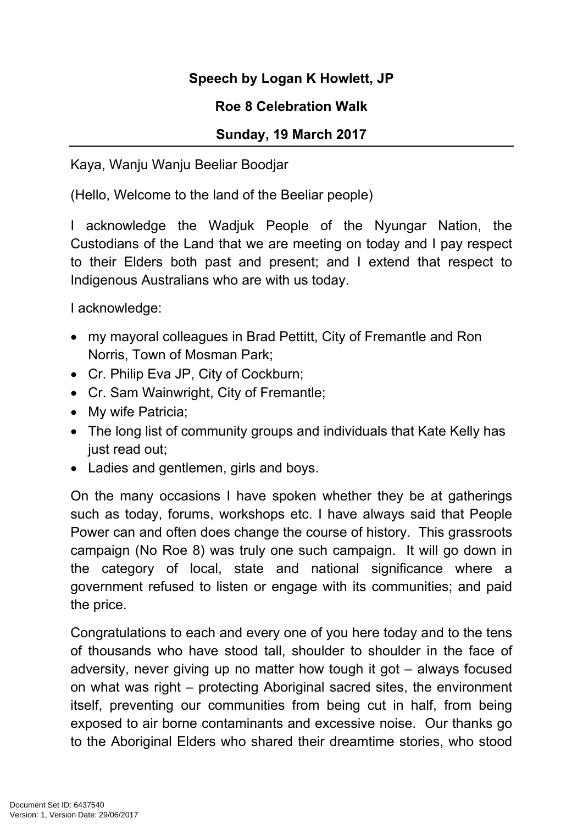## **Speech by Logan K Howlett, JP**

## **Roe 8 Celebration Walk**

## **Sunday, 19 March 2017**

Kaya, Wanju Wanju Beeliar Boodjar

(Hello, Welcome to the land of the Beeliar people)

I acknowledge the Wadjuk People of the Nyungar Nation, the Custodians of the Land that we are meeting on today and I pay respect to their Elders both past and present; and I extend that respect to Indigenous Australians who are with us today.

I acknowledge:

- my mayoral colleagues in Brad Pettitt, City of Fremantle and Ron Norris, Town of Mosman Park;
- Cr. Philip Eva JP, City of Cockburn;
- Cr. Sam Wainwright, City of Fremantle;
- My wife Patricia;
- The long list of community groups and individuals that Kate Kelly has just read out;
- Ladies and gentlemen, girls and boys.

On the many occasions I have spoken whether they be at gatherings such as today, forums, workshops etc. I have always said that People Power can and often does change the course of history. This grassroots campaign (No Roe 8) was truly one such campaign. It will go down in the category of local, state and national significance where a government refused to listen or engage with its communities; and paid the price.

Congratulations to each and every one of you here today and to the tens of thousands who have stood tall, shoulder to shoulder in the face of adversity, never giving up no matter how tough it got – always focused on what was right – protecting Aboriginal sacred sites, the environment itself, preventing our communities from being cut in half, from being exposed to air borne contaminants and excessive noise. Our thanks go to the Aboriginal Elders who shared their dreamtime stories, who stood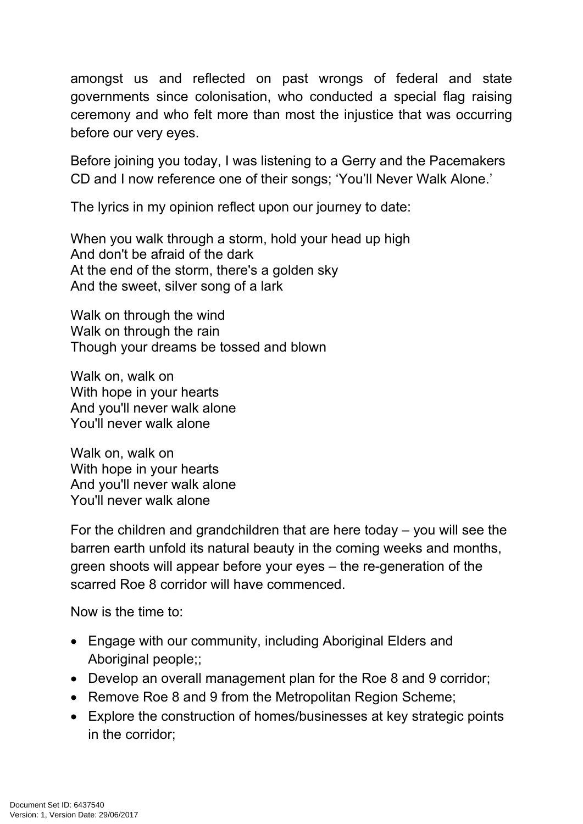amongst us and reflected on past wrongs of federal and state governments since colonisation, who conducted a special flag raising ceremony and who felt more than most the injustice that was occurring before our very eyes.

Before joining you today, I was listening to a Gerry and the Pacemakers CD and I now reference one of their songs; 'You'll Never Walk Alone.'

The lyrics in my opinion reflect upon our journey to date:

When you walk through a storm, hold your head up high And don't be afraid of the dark At the end of the storm, there's a golden sky And the sweet, silver song of a lark

Walk on through the wind Walk on through the rain Though your dreams be tossed and blown

Walk on, walk on With hope in your hearts And you'll never walk alone You'll never walk alone

Walk on, walk on With hope in your hearts And you'll never walk alone You'll never walk alone

For the children and grandchildren that are here today – you will see the barren earth unfold its natural beauty in the coming weeks and months, green shoots will appear before your eyes – the re-generation of the scarred Roe 8 corridor will have commenced.

Now is the time to:

- Engage with our community, including Aboriginal Elders and Aboriginal people;;
- Develop an overall management plan for the Roe 8 and 9 corridor;
- Remove Roe 8 and 9 from the Metropolitan Region Scheme;
- Explore the construction of homes/businesses at key strategic points in the corridor;